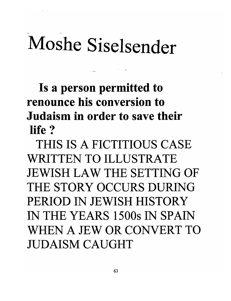## Moshe Siselsender

. .

Is a person permitted to renounce his conversion to Judaism in order to save their life?

THIS IS A FICTITIOUS CASE WRITTEN TO ILLUSTRATE JEWISH LAW THE SETTING OF THE STORY OCCURS DURING PERIOD IN JEWISH HISTORY IN THE YEARS 15008 IN SPAIN WHEN A JEW OR CONVERT TO JUDAISM CAUGHT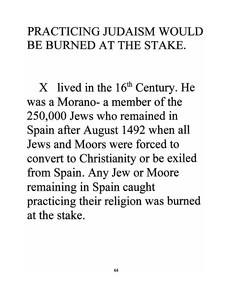## PRACTICING JUDAISM WOULD BE BURNED AT THE STAKE.

 $X$  lived in the 16<sup>th</sup> Century. He was a Morano- a member of the 250,000 Jews who remained in Spain after August 1492 when all Jews and Moors were forced to convert to Christianity or be exiled from Spain. Any Jew or Moore remaining in Spain caught practicing their religion was burned at the stake.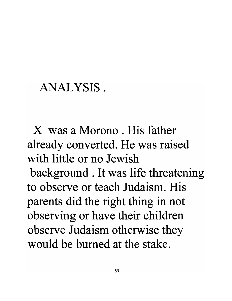## ANALYSIS.

X was a Morono . His father already converted. He was raised with little or no Jewish background. It was life threatening to observe or teach Judaism. His parents did the right thing in not observing or have their children observe Judaism otherwise they would be burned at the stake.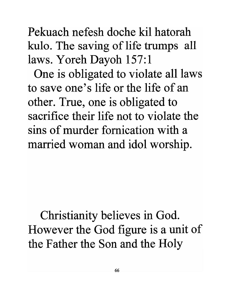66

Pekuach nefesh doche kil hatorah kulo. The saving of life trumps all laws. Yoreh Dayoh 157:1

One is obligated to violate all laws to save one's life or the life of an other. True, one is obligated to sacrifice their life not to violate the sins of murder fornication with a married woman and idol worship.

Christianity believes in God. However the God figure is a unit of the Father the Son and the Holy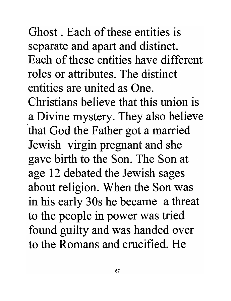Ghost . Each of these entities is separate and apart and distinct. Each of these entities have different roles or attributes. The distinct entities are united as One. Christians believe that this union is a Divine mystery. They also believe 'that God the Father got a married Jewish virgin pregnant and she gave birth to the Son. The Son at age 12 debated the Jewish sages about religion. When the Son was in his early 30s he became a threat to the people in power was tried found guilty and was handed over to the Romans and crucified. He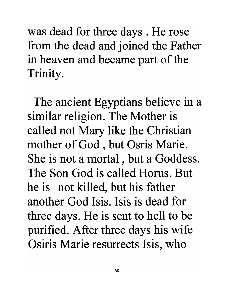was dead for three days. He rose from the dead and joined the Father in heaven and became part of the Trinity.

The ancient Egyptians believe in a similar religion. The Mother is called not Mary like the Christian mother of God, but Osris Marie. She is not a mortal, but a Goddess. The Son God is called Horus. But he is', not killed, but his father another God Isis. Isis is dead for three days. He is sent to hell to be purified. After three days his wife Osiris Marie resurrects Isis, who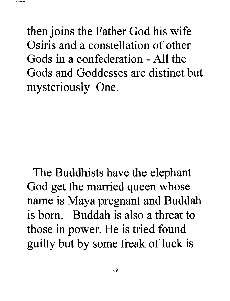then joins the Father God his wife Osiris and a constellation of other Gods in a confederation - All the Gods and Goddesses are distinct but mysteriously One.

The Buddhists have the elephant God get the married queen whose name is Maya pregnant and Buddah is born. Buddah is also a threat to those in power. He is tried found guilty but by some freak of luck is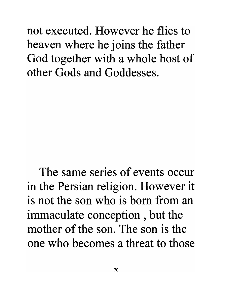not executed. However he flies to heaven where he joins the father God together with a whole host of other Gods and Goddesses.

The same series of events occur in the Persian religion. However it is not the son who is born from an immaculate conception , but the mother of the son. The son is the one who becomes a threat to those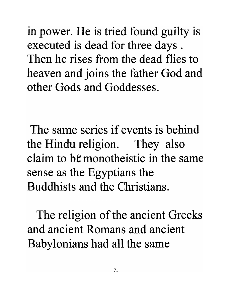in power. He is tried found guilty is executed is dead for three days . Then he rises from the dead flies to heaven and joins the father God and other Gods and Goddesses.

The same series if events is behind the Hindu religion. They also claim to b<sup>e</sup> monotheistic in the same sense as the Egyptians the Buddhists and the Christians.

The religion of the ancient Greeks and ancient Romans and ancient Babylonians had all the same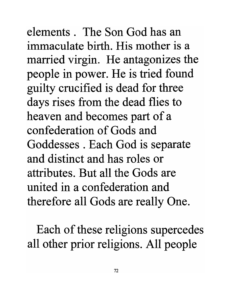elements. The Son God has an immaculate birth. His mother is a married virgin. He antagonizes the people in power. He is tried found guilty crucified is dead for three days rises from the dead flies to heaven and becomes part of a confederation of Gods and Goddesses . Each God is separate and distinct and has roles or attributes. But all the Gods are united in a confederation and therefore all Gods are really One.

Each of these religions supercedes all other prior religions. All people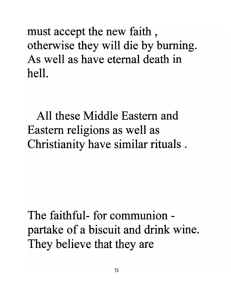must accept the new faith , otherwise they will die by burning. As well as have eternal death in hell.

All these Middle Eastern and Eastern religions as well as Christianity have similar rituals .

The faithful- for communionpartake of a biscuit and drink wine. They believe that they are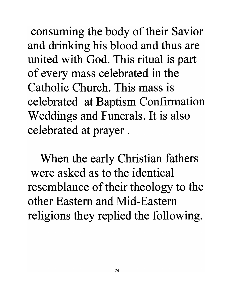consuming the body of their Savior and drinking his blood and thus are united with God. This ritual is part of every mass celebrated in the Catholic Church. This mass is celebrated at Baptism Confirmation Weddings and Funerals. It is also celebrated at prayer.

When the early Christian fathers were asked as to the identical resemblance of their theology to the other Eastern and Mid-Eastern religions they replied the following.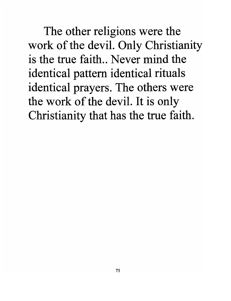The other religions were the work of the devil. Only Christianity is the true faith.. Never mind the identical pattern identical rituals identical prayers. The others were the work of the devil. It is only Christianity that has the true faith.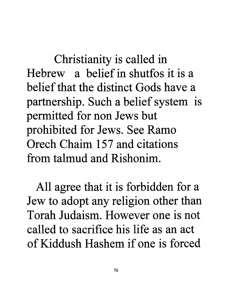Christianity is called in Hebrew a belief in shutfos it is a belief that the distinct Gods have a partnership. Such a belief system is permitted for non Jews but prohibited for Jews. See Ramo Orech Chaim 157 and citations from talmud and Rishonim.

All agree that it is forbidden for a Jew to adopt any religion other than Torah Judaism. However one is not called to sacrifice his life as an act of Kiddush Hashem if one is forced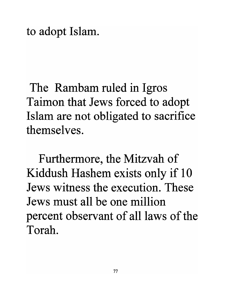to adopt Islam.

The Rambam ruled in Igros Taimon that Jews forced to adopt Islam are not obligated to sacrifice themselves.

Furthermore, the Mitzvah of Kiddush Hashem exists only if 10 Jews witness the execution. These Jews must all be one million percent observant of all laws of the Torah.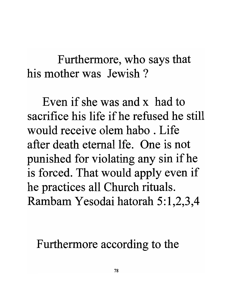Furthermore, who says that his mother was Jewish?

Even if she was and x had to sacrifice his life if he refused he still would receive olem habo . Life after death eternal lfe. One is not punished for violating any sin ifhe is forced. That would apply even if he practices all Church rituals. Rambam Yesodai hatorah 5:1,2,3,4

Furthermore according to the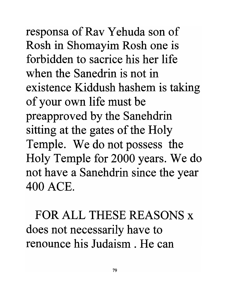responsa of Rav Yehuda son of Rosh in Shomayim Rosh one is forbidden to sacrice his her life when the Sanedrin is not in existence Kiddush hashem is taking of your own life must be preapproved by the Sanehdrin sitting at the gates of the Holy Temple. We do not possess the Holy Temple for 2000 years. We do not have a Sanehdrin since the year 400 ACE.

FOR ALL THESE REASONS x does not necessarily have to renounce his Judaism . He can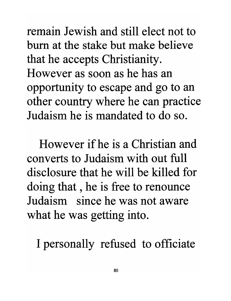remain Jewish and still elect not to bum at the stake but make believe that he accepts Christianity. However as soon as he has an opportunity to escape and go to an other country where he can practice Judaism he is mandated to do so.

However if he is a Christian and converts to Judaism with out full disclosure that he will be killed for doing that , he is free to renounce Judaism since he was not aware what he was getting into.

I personally refused to officiate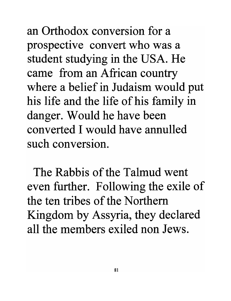an Orthodox conversion for a prospective convert who was a student studying in the USA. He came from an African country where a belief in Judaism would put his life and the life of his family in danger. Would he have been converted I would have annulled such conversion.

The Rabbis of the Talmud went even further. Following the exile of the ten tribes of the Northern Kingdom by Assyria, they declared all the members exiled non Jews.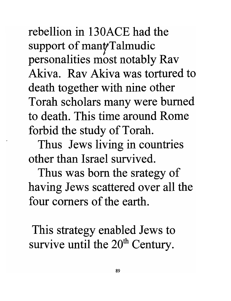rebellion in 130ACE had the support of mant Talmudic personalities most notably Rav Akiva. Rav Akiva was tortured to death together with nine other Torah scholars many were burned to death. This time around Rome forbid the study of Torah.

Thus Jews living in countries other than Israel survived.

Thus was born the srategy of having Jews scattered over all the four comers of the earth.

This strategy enabled Jews to survive until the 20<sup>th</sup> Century.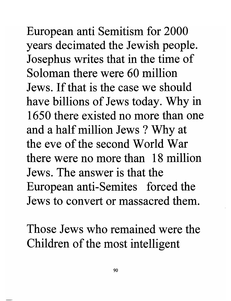European anti Semitism for 2000 years decimated the Jewish people. Josephus writes that in the time of Soloman there were 60 million Jews. If that is the case we should have billions of Jews today. Why in 1650 there existed no more than one and a half million Jews? Why at the eve of the second World War there were no more than 18 million Jews. The answer is that the European anti-Semites forced the Jews to convert or massacred them.

Those Jews who remained were the Children of the most intelligent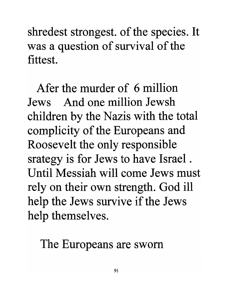shredest strongest. of the species. It was a question of survival of the fittest.

Afer the murder of 6 million Jews And one million Jewsh children by the Nazis with the total complicity of the Europeans and Roosevelt the only responsible srategy is for Jews to have Israel. Until Messiah will come Jews must rely on their own strength. God ill help the Jews survive if the Jews help themselves.

The Europeans are sworn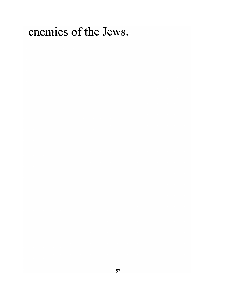enemies of the Jews.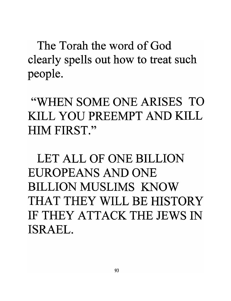The Torah the word of God clearly spells out how to treat such people.

"WHEN SOME ONE ARISES TO KILL YOU PREEMPT AND KILL HIM FIRST."

LET ALL OF ONE BILLION EUROPEANS AND ONE BILLION MUSLIMS KNOW THAT THEY WILL BE HISTORY IF THEY ATTACK THE JEWS IN ISRAEL.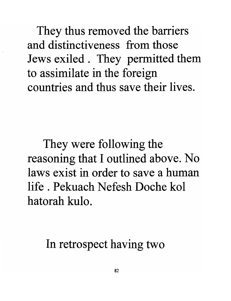They thus removed the barriers and distinctiveness from those Jews exiled. They permitted them to assimilate in the foreign countries and thus save their lives.

They were following the reasoning that I outlined above. No laws exist in order to save a human life. Pekuach Nefesh Doche kol hatorah kulo.

In retrospect having two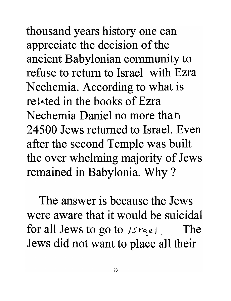thousand years history one can appreciate the decision of the ancient Babylonian community to refuse to return to Israel with Ezra Nechemia. According to what is related in the books of Ezra Nechemia Daniel no more than 24500 Jews returned to Israel. Even after the second Temple was built the over whelming majority of Jews remained in Babylonia. Why ?

The answer is because the Jews were aware that it would be suicidal for all Jews to go to  $|S^{\text{rec}}|$  . The Jews did not want to place all their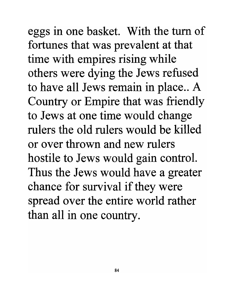eggs in one basket. With the turn of fortunes that was prevalent at that time with empires rising while others were dying the Jews refused to have all Jews remain in place.. A Country or Empire that was friendly to Jews at one time would change rulers the old rulers would be killed or over thrown and new rulers hostile to Jews would gain control. Thus the Jews would have a greater chance for survival if they were spread over the entire world rather than all in one country.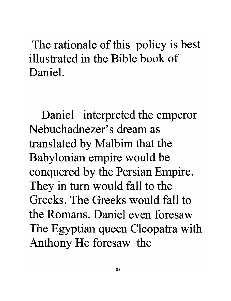The rationale of this policy is best illustrated in the Bible book of Daniel.

Daniel interpreted the emperor Nebuchadnezer's dream as translated by Malbim that the Babylonian empire would be conquered by the Persian Empire. They in tum would fall to the Greeks. The Greeks would fall to the Romans. Daniel even foresaw The Egyptian queen Cleopatra with Anthony He foresaw the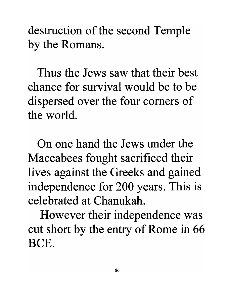destruction of the second Temple by the Romans.

Thus the Jews saw that their best chance for survival would be to be dispersed over the four comers of the world.

On one hand the Jews under the Maccabees fought sacrificed their lives against the Greeks and gained independence for 200 years. This is celebrated at Chanukah.

However their independence was cut short by the entry of Rome in 66 BCE.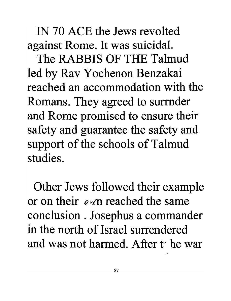IN 70 ACE the Jews revolted against Rome. It was suicidal.

The RABBIS OF THE Talmud led by Rav Yochenon Benzakai reached an accommodation with the Romans. They agreed to surrnder and Rome promised to ensure their safety and guarantee the safety and support of the schools of Talmud studies.

Other Jews followed their example or on their  $e \times n$  reached the same conclusion. Josephus a commander in the north of Israel surrendered and was not harmed. After t- ne war